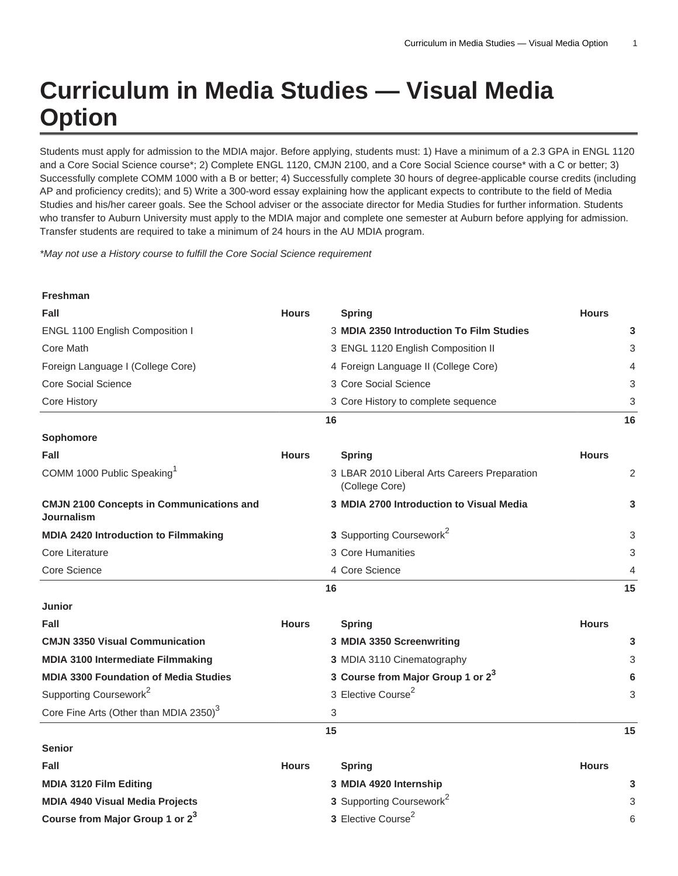## **Curriculum in Media Studies — Visual Media Option**

Students must apply for admission to the MDIA major. Before applying, students must: 1) Have a minimum of a 2.3 GPA in ENGL 1120 and a Core Social Science course\*; 2) Complete ENGL 1120, CMJN 2100, and a Core Social Science course\* with a C or better; 3) Successfully complete COMM 1000 with a B or better; 4) Successfully complete 30 hours of degree-applicable course credits (including AP and proficiency credits); and 5) Write a 300-word essay explaining how the applicant expects to contribute to the field of Media Studies and his/her career goals. See the School adviser or the associate director for Media Studies for further information. Students who transfer to Auburn University must apply to the MDIA major and complete one semester at Auburn before applying for admission. Transfer students are required to take a minimum of 24 hours in the AU MDIA program.

\*May not use a History course to fulfill the Core Social Science requirement

**Freshman**

| Fall                                                          | <b>Hours</b> | <b>Spring</b>                                                  | <b>Hours</b> |
|---------------------------------------------------------------|--------------|----------------------------------------------------------------|--------------|
| ENGL 1100 English Composition I                               |              | 3 MDIA 2350 Introduction To Film Studies                       | 3            |
| Core Math                                                     |              | 3 ENGL 1120 English Composition II                             | 3            |
| Foreign Language I (College Core)                             |              | 4 Foreign Language II (College Core)                           | 4            |
| Core Social Science                                           |              | 3 Core Social Science                                          | 3            |
| Core History                                                  |              | 3 Core History to complete sequence                            | 3            |
|                                                               |              | 16                                                             | 16           |
| Sophomore                                                     |              |                                                                |              |
| Fall                                                          | <b>Hours</b> | <b>Spring</b>                                                  | <b>Hours</b> |
| COMM 1000 Public Speaking <sup>1</sup>                        |              | 3 LBAR 2010 Liberal Arts Careers Preparation<br>(College Core) | 2            |
| <b>CMJN 2100 Concepts in Communications and</b><br>Journalism |              | 3 MDIA 2700 Introduction to Visual Media                       | 3            |
| MDIA 2420 Introduction to Filmmaking                          |              | 3 Supporting Coursework <sup>2</sup>                           | 3            |
| Core Literature                                               |              | 3 Core Humanities                                              | 3            |
| Core Science                                                  |              | 4 Core Science                                                 | 4            |
|                                                               |              | 16                                                             | 15           |
| <b>Junior</b>                                                 |              |                                                                |              |
| Fall                                                          | <b>Hours</b> | <b>Spring</b>                                                  | <b>Hours</b> |
| <b>CMJN 3350 Visual Communication</b>                         |              | 3 MDIA 3350 Screenwriting                                      | 3            |
| MDIA 3100 Intermediate Filmmaking                             |              | 3 MDIA 3110 Cinematography                                     | 3            |
| <b>MDIA 3300 Foundation of Media Studies</b>                  |              | 3 Course from Major Group 1 or 2 <sup>3</sup>                  | 6            |
| Supporting Coursework <sup>2</sup>                            |              | 3 Elective Course <sup>2</sup>                                 | 3            |
| Core Fine Arts (Other than MDIA 2350) <sup>3</sup>            |              | 3                                                              |              |
|                                                               |              | 15                                                             | 15           |
| <b>Senior</b>                                                 |              |                                                                |              |
| Fall                                                          | <b>Hours</b> | <b>Spring</b>                                                  | <b>Hours</b> |
| MDIA 3120 Film Editing                                        |              | 3 MDIA 4920 Internship                                         | 3            |
| <b>MDIA 4940 Visual Media Projects</b>                        |              | 3 Supporting Coursework <sup>2</sup>                           | 3            |
| Course from Major Group 1 or 2 <sup>3</sup>                   |              | 3 Elective Course <sup>2</sup>                                 | 6            |

6